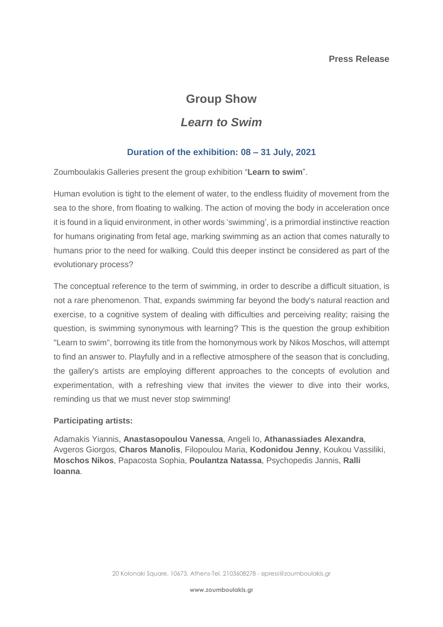## **Group Show**

## *Learn to Swim*

## **Duration of the exhibition: 08 – 31 July, 2021**

Zoumboulakis Galleries present the group exhibition "**Learn to swim**".

Human evolution is tight to the element of water, to the endless fluidity of movement from the sea to the shore, from floating to walking. The action of moving the body in acceleration once it is found in a liquid environment, in other words 'swimming', is a primordial instinctive reaction for humans originating from fetal age, marking swimming as an action that comes naturally to humans prior to the need for walking. Could this deeper instinct be considered as part of the evolutionary process?

The conceptual reference to the term of swimming, in order to describe a difficult situation, is not a rare phenomenon. That, expands swimming far beyond the body's natural reaction and exercise, to a cognitive system of dealing with difficulties and perceiving reality; raising the question, is swimming synonymous with learning? This is the question the group exhibition "Learn to swim", borrowing its title from the homonymous work by Nikos Moschos, will attempt to find an answer to. Playfully and in a reflective atmosphere of the season that is concluding, the gallery's artists are employing different approaches to the concepts of evolution and experimentation, with a refreshing view that invites the viewer to dive into their works, reminding us that we must never stop swimming!

## **Participating artists:**

Adamakis Yiannis, **Anastasopoulou Vanessa**, Angeli Io, **Athanassiades Alexandra**, Avgeros Giorgos, **Charos Manolis**, Filopoulou Maria, **Kodonidou Jenny**, Koukou Vassiliki, **Moschos Nikos**, Papacosta Sophia, **Poulantza Natassa**, Psychopedis Jannis, **Ralli Ioanna**.